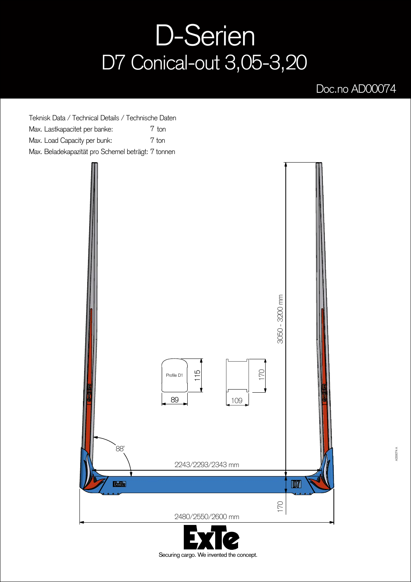## D-Serien D7 Conical-out 3,05-3,20

## Doc.no AD00074

Teknisk Data / Technical Details / Technische Daten Max. Lastkapacitet per banke: Max. Load Capacity per bunk: Max. Beladekapazität pro Schemel beträgt: 7 tonnen 7 ton 7 ton